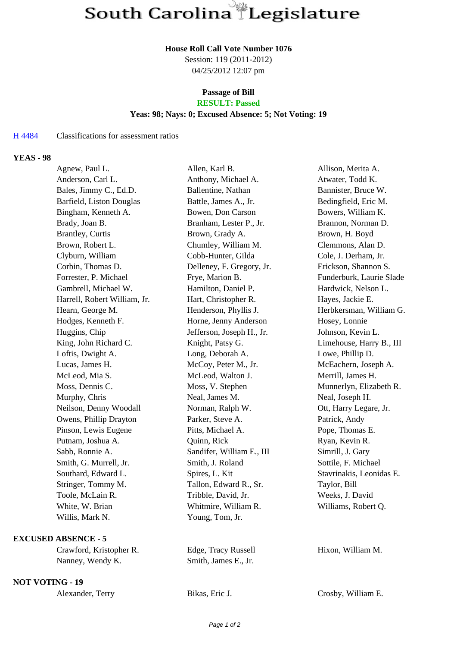## **House Roll Call Vote Number 1076**

Session: 119 (2011-2012) 04/25/2012 12:07 pm

### **Passage of Bill RESULT: Passed**

# **Yeas: 98; Nays: 0; Excused Absence: 5; Not Voting: 19**

### H 4484 Classifications for assessment ratios

## **YEAS - 98**

| Agnew, Paul L.               | Allen, Karl B.            | Allison, Merita A.       |
|------------------------------|---------------------------|--------------------------|
| Anderson, Carl L.            | Anthony, Michael A.       | Atwater, Todd K.         |
| Bales, Jimmy C., Ed.D.       | Ballentine, Nathan        | Bannister, Bruce W.      |
| Barfield, Liston Douglas     | Battle, James A., Jr.     | Bedingfield, Eric M.     |
| Bingham, Kenneth A.          | Bowen, Don Carson         | Bowers, William K.       |
| Brady, Joan B.               | Branham, Lester P., Jr.   | Brannon, Norman D.       |
| Brantley, Curtis             | Brown, Grady A.           | Brown, H. Boyd           |
| Brown, Robert L.             | Chumley, William M.       | Clemmons, Alan D.        |
| Clyburn, William             | Cobb-Hunter, Gilda        | Cole, J. Derham, Jr.     |
| Corbin, Thomas D.            | Delleney, F. Gregory, Jr. | Erickson, Shannon S.     |
| Forrester, P. Michael        | Frye, Marion B.           | Funderburk, Laurie Slade |
| Gambrell, Michael W.         | Hamilton, Daniel P.       | Hardwick, Nelson L.      |
| Harrell, Robert William, Jr. | Hart, Christopher R.      | Hayes, Jackie E.         |
| Hearn, George M.             | Henderson, Phyllis J.     | Herbkersman, William G.  |
| Hodges, Kenneth F.           | Horne, Jenny Anderson     | Hosey, Lonnie            |
| Huggins, Chip                | Jefferson, Joseph H., Jr. | Johnson, Kevin L.        |
| King, John Richard C.        | Knight, Patsy G.          | Limehouse, Harry B., III |
| Loftis, Dwight A.            | Long, Deborah A.          | Lowe, Phillip D.         |
| Lucas, James H.              | McCoy, Peter M., Jr.      | McEachern, Joseph A.     |
| McLeod, Mia S.               | McLeod, Walton J.         | Merrill, James H.        |
| Moss, Dennis C.              | Moss, V. Stephen          | Munnerlyn, Elizabeth R.  |
| Murphy, Chris                | Neal, James M.            | Neal, Joseph H.          |
| Neilson, Denny Woodall       | Norman, Ralph W.          | Ott, Harry Legare, Jr.   |
| Owens, Phillip Drayton       | Parker, Steve A.          | Patrick, Andy            |
| Pinson, Lewis Eugene         | Pitts, Michael A.         | Pope, Thomas E.          |
| Putnam, Joshua A.            | Quinn, Rick               | Ryan, Kevin R.           |
| Sabb, Ronnie A.              | Sandifer, William E., III | Simrill, J. Gary         |
| Smith, G. Murrell, Jr.       | Smith, J. Roland          | Sottile, F. Michael      |
| Southard, Edward L.          | Spires, L. Kit            | Stavrinakis, Leonidas E. |
| Stringer, Tommy M.           | Tallon, Edward R., Sr.    | Taylor, Bill             |
| Toole, McLain R.             | Tribble, David, Jr.       | Weeks, J. David          |
| White, W. Brian              | Whitmire, William R.      | Williams, Robert Q.      |
| Willis, Mark N.              | Young, Tom, Jr.           |                          |
|                              |                           |                          |
| <b>EXCUSED ABSENCE - 5</b>   |                           |                          |

| Crawford, Kristopher R. | Edge, Tracy Russell  | Hixon, William M. |
|-------------------------|----------------------|-------------------|
| Nanney, Wendy K.        | Smith, James E., Jr. |                   |

**NOT VOTING - 19**

| Alexander, Terry | Bikas, Eric J. | Crosby, William E. |
|------------------|----------------|--------------------|
|------------------|----------------|--------------------|